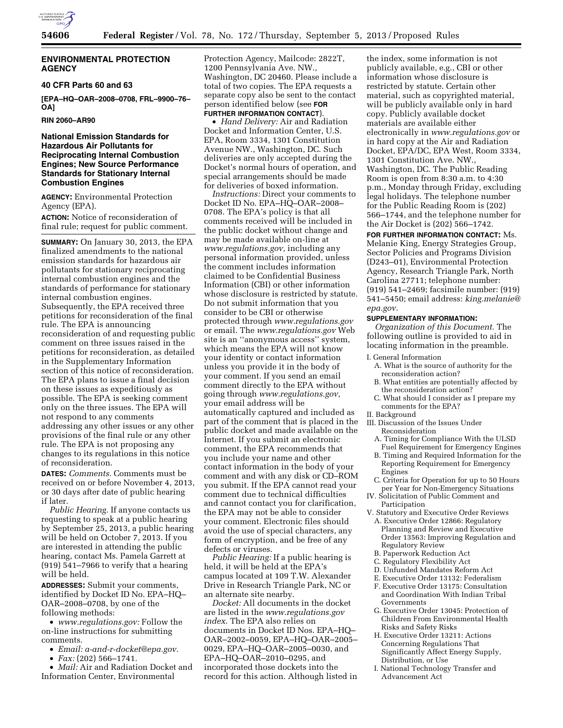

## **ENVIRONMENTAL PROTECTION AGENCY**

#### **40 CFR Parts 60 and 63**

**[EPA–HQ–OAR–2008–0708, FRL–9900–76– OA]** 

**RIN 2060–AR90** 

## **National Emission Standards for Hazardous Air Pollutants for Reciprocating Internal Combustion Engines; New Source Performance Standards for Stationary Internal Combustion Engines**

**AGENCY:** Environmental Protection Agency (EPA).

**ACTION:** Notice of reconsideration of final rule; request for public comment.

**SUMMARY:** On January 30, 2013, the EPA finalized amendments to the national emission standards for hazardous air pollutants for stationary reciprocating internal combustion engines and the standards of performance for stationary internal combustion engines. Subsequently, the EPA received three petitions for reconsideration of the final rule. The EPA is announcing reconsideration of and requesting public comment on three issues raised in the petitions for reconsideration, as detailed in the Supplementary Information section of this notice of reconsideration. The EPA plans to issue a final decision on these issues as expeditiously as possible. The EPA is seeking comment only on the three issues. The EPA will not respond to any comments addressing any other issues or any other provisions of the final rule or any other rule. The EPA is not proposing any changes to its regulations in this notice of reconsideration.

**DATES:** *Comments.* Comments must be received on or before November 4, 2013, or 30 days after date of public hearing if later.

*Public Hearing.* If anyone contacts us requesting to speak at a public hearing by September 25, 2013, a public hearing will be held on October 7, 2013. If you are interested in attending the public hearing, contact Ms. Pamela Garrett at (919) 541–7966 to verify that a hearing will be held.

**ADDRESSES:** Submit your comments, identified by Docket ID No. EPA–HQ– OAR–2008–0708, by one of the following methods:

• *[www.regulations.gov:](http://www.regulations.gov)* Follow the on-line instructions for submitting comments.

- *Email: [a-and-r-docket@epa.gov.](mailto:a-and-r-docket@epa.gov)*
- *Fax:* (202) 566–1741.

• *Mail:* Air and Radiation Docket and Information Center, Environmental

Protection Agency, Mailcode: 2822T, 1200 Pennsylvania Ave. NW., Washington, DC 20460. Please include a total of two copies. The EPA requests a separate copy also be sent to the contact person identified below (see **FOR**

# **FURTHER INFORMATION CONTACT**).

• *Hand Delivery:* Air and Radiation Docket and Information Center, U.S. EPA, Room 3334, 1301 Constitution Avenue NW., Washington, DC. Such deliveries are only accepted during the Docket's normal hours of operation, and special arrangements should be made for deliveries of boxed information.

*Instructions:* Direct your comments to Docket ID No. EPA–HQ–OAR–2008– 0708. The EPA's policy is that all comments received will be included in the public docket without change and may be made available on-line at *[www.regulations.gov,](http://www.regulations.gov)* including any personal information provided, unless the comment includes information claimed to be Confidential Business Information (CBI) or other information whose disclosure is restricted by statute. Do not submit information that you consider to be CBI or otherwise protected through *[www.regulations.gov](http://www.regulations.gov)*  or email. The *[www.regulations.gov](http://www.regulations.gov)* Web site is an ''anonymous access'' system, which means the EPA will not know your identity or contact information unless you provide it in the body of your comment. If you send an email comment directly to the EPA without going through *[www.regulations.gov,](http://www.regulations.gov)*  your email address will be automatically captured and included as part of the comment that is placed in the public docket and made available on the Internet. If you submit an electronic comment, the EPA recommends that you include your name and other contact information in the body of your comment and with any disk or CD–ROM you submit. If the EPA cannot read your comment due to technical difficulties and cannot contact you for clarification, the EPA may not be able to consider your comment. Electronic files should avoid the use of special characters, any form of encryption, and be free of any defects or viruses.

*Public Hearing:* If a public hearing is held, it will be held at the EPA's campus located at 109 T.W. Alexander Drive in Research Triangle Park, NC or an alternate site nearby.

*Docket:* All documents in the docket are listed in the *[www.regulations.gov](http://www.regulations.govindex)  [index](http://www.regulations.govindex)*. The EPA also relies on documents in Docket ID Nos. EPA–HQ– OAR–2002–0059, EPA–HQ–OAR–2005– 0029, EPA–HQ–OAR–2005–0030, and EPA–HQ–OAR–2010–0295, and incorporated those dockets into the record for this action. Although listed in

the index, some information is not publicly available, e.g., CBI or other information whose disclosure is restricted by statute. Certain other material, such as copyrighted material, will be publicly available only in hard copy. Publicly available docket materials are available either electronically in *[www.regulations.gov](http://www.regulations.gov)* or in hard copy at the Air and Radiation Docket, EPA/DC, EPA West, Room 3334, 1301 Constitution Ave. NW., Washington, DC. The Public Reading Room is open from 8:30 a.m. to 4:30 p.m., Monday through Friday, excluding legal holidays. The telephone number for the Public Reading Room is (202) 566–1744, and the telephone number for the Air Docket is (202) 566–1742.

**FOR FURTHER INFORMATION CONTACT:** Ms. Melanie King, Energy Strategies Group, Sector Policies and Programs Division (D243–01), Environmental Protection Agency, Research Triangle Park, North Carolina 27711; telephone number: (919) 541–2469; facsimile number: (919) 541–5450; email address: *[king.melanie@](mailto:king.melanie@epa.gov) [epa.gov.](mailto:king.melanie@epa.gov)* 

## **SUPPLEMENTARY INFORMATION:**

*Organization of this Document.* The following outline is provided to aid in locating information in the preamble.

- I. General Information
	- A. What is the source of authority for the reconsideration action?
	- B. What entities are potentially affected by the reconsideration action?
- C. What should I consider as I prepare my comments for the EPA?
- II. Background

III. Discussion of the Issues Under Reconsideration

- A. Timing for Compliance With the ULSD Fuel Requirement for Emergency Engines
- B. Timing and Required Information for the Reporting Requirement for Emergency Engines
- C. Criteria for Operation for up to 50 Hours per Year for Non-Emergency Situations
- IV. Solicitation of Public Comment and Participation
- V. Statutory and Executive Order Reviews A. Executive Order 12866: Regulatory Planning and Review and Executive Order 13563: Improving Regulation and Regulatory Review
- B. Paperwork Reduction Act
- C. Regulatory Flexibility Act
- D. Unfunded Mandates Reform Act
- E. Executive Order 13132: Federalism
- F. Executive Order 13175: Consultation and Coordination With Indian Tribal Governments
- G. Executive Order 13045: Protection of Children From Environmental Health Risks and Safety Risks
- H. Executive Order 13211: Actions Concerning Regulations That Significantly Affect Energy Supply, Distribution, or Use
- I. National Technology Transfer and Advancement Act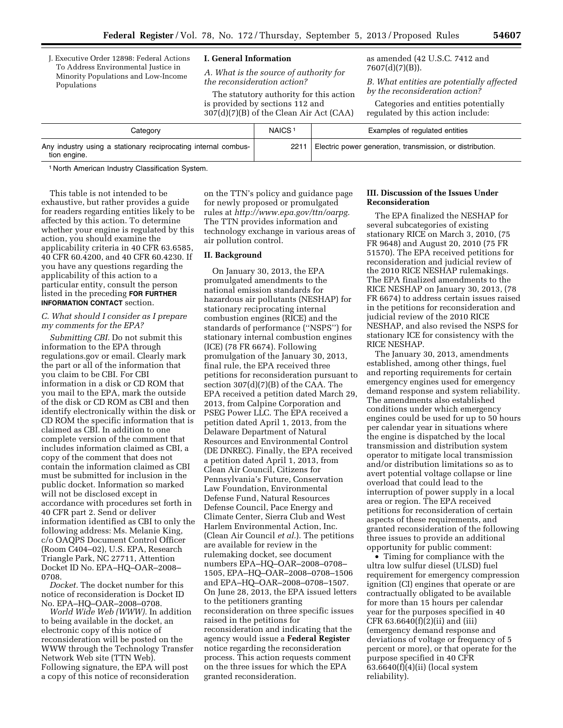J. Executive Order 12898: Federal Actions To Address Environmental Justice in Minority Populations and Low-Income Populations

#### **I. General Information**

*A. What is the source of authority for the reconsideration action?* 

The statutory authority for this action is provided by sections 112 and 307(d)(7)(B) of the Clean Air Act (CAA)

as amended (42 U.S.C. 7412 and 7607(d)(7)(B)).

*B. What entities are potentially affected by the reconsideration action?* 

Categories and entities potentially regulated by this action include:

| Category                                                                       | NAICS <sup>-</sup> | Examples of regulated entities                            |
|--------------------------------------------------------------------------------|--------------------|-----------------------------------------------------------|
| Any industry using a stationary reciprocating internal combus-<br>tion engine. | 2211               | Electric power generation, transmission, or distribution. |

1 North American Industry Classification System.

This table is not intended to be exhaustive, but rather provides a guide for readers regarding entities likely to be affected by this action. To determine whether your engine is regulated by this action, you should examine the applicability criteria in 40 CFR 63.6585, 40 CFR 60.4200, and 40 CFR 60.4230. If you have any questions regarding the applicability of this action to a particular entity, consult the person listed in the preceding **FOR FURTHER INFORMATION CONTACT** section.

## *C. What should I consider as I prepare my comments for the EPA?*

*Submitting CBI.* Do not submit this information to the EPA through regulations.gov or email. Clearly mark the part or all of the information that you claim to be CBI. For CBI information in a disk or CD ROM that you mail to the EPA, mark the outside of the disk or CD ROM as CBI and then identify electronically within the disk or CD ROM the specific information that is claimed as CBI. In addition to one complete version of the comment that includes information claimed as CBI, a copy of the comment that does not contain the information claimed as CBI must be submitted for inclusion in the public docket. Information so marked will not be disclosed except in accordance with procedures set forth in 40 CFR part 2. Send or deliver information identified as CBI to only the following address: Ms. Melanie King, c/o OAQPS Document Control Officer (Room C404–02), U.S. EPA, Research Triangle Park, NC 27711, Attention Docket ID No. EPA–HQ–OAR–2008– 0708.

*Docket.* The docket number for this notice of reconsideration is Docket ID No. EPA–HQ–OAR–2008–0708.

*World Wide Web (WWW).* In addition to being available in the docket, an electronic copy of this notice of reconsideration will be posted on the WWW through the Technology Transfer Network Web site (TTN Web). Following signature, the EPA will post a copy of this notice of reconsideration

on the TTN's policy and guidance page for newly proposed or promulgated rules at *[http://www.epa.gov/ttn/oarpg.](http://www.epa.gov/ttn/oarpg)*  The TTN provides information and technology exchange in various areas of air pollution control.

## **II. Background**

On January 30, 2013, the EPA promulgated amendments to the national emission standards for hazardous air pollutants (NESHAP) for stationary reciprocating internal combustion engines (RICE) and the standards of performance (''NSPS'') for stationary internal combustion engines (ICE) (78 FR 6674). Following promulgation of the January 30, 2013, final rule, the EPA received three petitions for reconsideration pursuant to section 307(d)(7)(B) of the CAA. The EPA received a petition dated March 29, 2013, from Calpine Corporation and PSEG Power LLC. The EPA received a petition dated April 1, 2013, from the Delaware Department of Natural Resources and Environmental Control (DE DNREC). Finally, the EPA received a petition dated April 1, 2013, from Clean Air Council, Citizens for Pennsylvania's Future, Conservation Law Foundation, Environmental Defense Fund, Natural Resources Defense Council, Pace Energy and Climate Center, Sierra Club and West Harlem Environmental Action, Inc. (Clean Air Council *et al.*). The petitions are available for review in the rulemaking docket, see document numbers EPA–HQ–OAR–2008–0708– 1505, EPA–HQ–OAR–2008–0708–1506 and EPA–HQ–OAR–2008–0708–1507. On June 28, 2013, the EPA issued letters to the petitioners granting reconsideration on three specific issues raised in the petitions for reconsideration and indicating that the agency would issue a **Federal Register**  notice regarding the reconsideration process. This action requests comment on the three issues for which the EPA granted reconsideration.

### **III. Discussion of the Issues Under Reconsideration**

The EPA finalized the NESHAP for several subcategories of existing stationary RICE on March 3, 2010, (75 FR 9648) and August 20, 2010 (75 FR 51570). The EPA received petitions for reconsideration and judicial review of the 2010 RICE NESHAP rulemakings. The EPA finalized amendments to the RICE NESHAP on January 30, 2013, (78 FR 6674) to address certain issues raised in the petitions for reconsideration and judicial review of the 2010 RICE NESHAP, and also revised the NSPS for stationary ICE for consistency with the RICE NESHAP.

The January 30, 2013, amendments established, among other things, fuel and reporting requirements for certain emergency engines used for emergency demand response and system reliability. The amendments also established conditions under which emergency engines could be used for up to 50 hours per calendar year in situations where the engine is dispatched by the local transmission and distribution system operator to mitigate local transmission and/or distribution limitations so as to avert potential voltage collapse or line overload that could lead to the interruption of power supply in a local area or region. The EPA received petitions for reconsideration of certain aspects of these requirements, and granted reconsideration of the following three issues to provide an additional opportunity for public comment:

• Timing for compliance with the ultra low sulfur diesel (ULSD) fuel requirement for emergency compression ignition (CI) engines that operate or are contractually obligated to be available for more than 15 hours per calendar year for the purposes specified in 40 CFR 63.6640(f)(2)(ii) and (iii) (emergency demand response and deviations of voltage or frequency of 5 percent or more), or that operate for the purpose specified in 40 CFR 63.6640(f)(4)(ii) (local system reliability).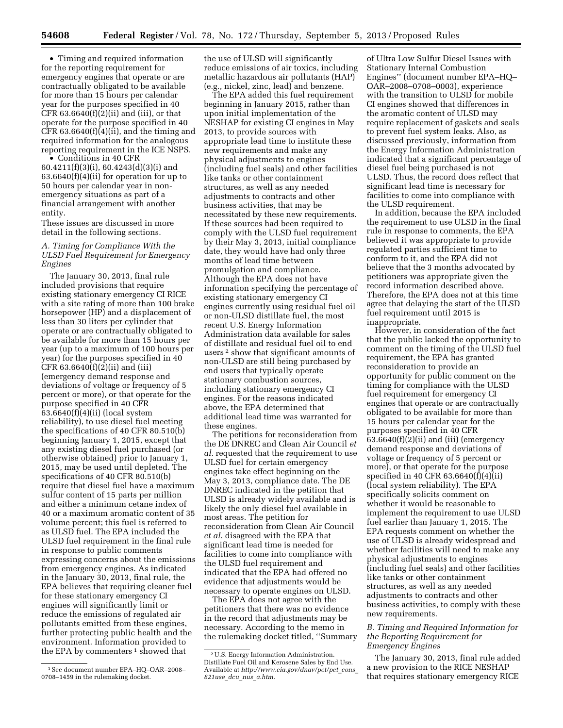• Timing and required information for the reporting requirement for emergency engines that operate or are contractually obligated to be available for more than 15 hours per calendar year for the purposes specified in 40 CFR  $63.6640(f)(2)(ii)$  and (iii), or that operate for the purpose specified in 40 CFR 63.6640(f)(4)(ii), and the timing and required information for the analogous reporting requirement in the ICE NSPS.

• Conditions in 40 CFR 60.4211(f)(3)(i), 60.4243(d)(3)(i) and 63.6640(f)(4)(ii) for operation for up to 50 hours per calendar year in nonemergency situations as part of a financial arrangement with another entity.

These issues are discussed in more detail in the following sections.

## *A. Timing for Compliance With the ULSD Fuel Requirement for Emergency Engines*

The January 30, 2013, final rule included provisions that require existing stationary emergency CI RICE with a site rating of more than 100 brake horsepower (HP) and a displacement of less than 30 liters per cylinder that operate or are contractually obligated to be available for more than 15 hours per year (up to a maximum of 100 hours per year) for the purposes specified in 40 CFR 63.6640(f)(2)(ii) and (iii) (emergency demand response and deviations of voltage or frequency of 5 percent or more), or that operate for the purpose specified in 40 CFR 63.6640(f)(4)(ii) (local system reliability), to use diesel fuel meeting the specifications of 40 CFR 80.510(b) beginning January 1, 2015, except that any existing diesel fuel purchased (or otherwise obtained) prior to January 1, 2015, may be used until depleted. The specifications of 40 CFR 80.510(b) require that diesel fuel have a maximum sulfur content of 15 parts per million and either a minimum cetane index of 40 or a maximum aromatic content of 35 volume percent; this fuel is referred to as ULSD fuel. The EPA included the ULSD fuel requirement in the final rule in response to public comments expressing concerns about the emissions from emergency engines. As indicated in the January 30, 2013, final rule, the EPA believes that requiring cleaner fuel for these stationary emergency CI engines will significantly limit or reduce the emissions of regulated air pollutants emitted from these engines, further protecting public health and the environment. Information provided to the EPA by commenters<sup>1</sup> showed that

the use of ULSD will significantly reduce emissions of air toxics, including metallic hazardous air pollutants (HAP) (e.g., nickel, zinc, lead) and benzene.

The EPA added this fuel requirement beginning in January 2015, rather than upon initial implementation of the NESHAP for existing CI engines in May 2013, to provide sources with appropriate lead time to institute these new requirements and make any physical adjustments to engines (including fuel seals) and other facilities like tanks or other containment structures, as well as any needed adjustments to contracts and other business activities, that may be necessitated by these new requirements. If these sources had been required to comply with the ULSD fuel requirement by their May 3, 2013, initial compliance date, they would have had only three months of lead time between promulgation and compliance. Although the EPA does not have information specifying the percentage of existing stationary emergency CI engines currently using residual fuel oil or non-ULSD distillate fuel, the most recent U.S. Energy Information Administration data available for sales of distillate and residual fuel oil to end users 2 show that significant amounts of non-ULSD are still being purchased by end users that typically operate stationary combustion sources, including stationary emergency CI engines. For the reasons indicated above, the EPA determined that additional lead time was warranted for these engines.

The petitions for reconsideration from the DE DNREC and Clean Air Council *et al.* requested that the requirement to use ULSD fuel for certain emergency engines take effect beginning on the May 3, 2013, compliance date. The DE DNREC indicated in the petition that ULSD is already widely available and is likely the only diesel fuel available in most areas. The petition for reconsideration from Clean Air Council *et al.* disagreed with the EPA that significant lead time is needed for facilities to come into compliance with the ULSD fuel requirement and indicated that the EPA had offered no evidence that adjustments would be necessary to operate engines on ULSD.

The EPA does not agree with the petitioners that there was no evidence in the record that adjustments may be necessary. According to the memo in the rulemaking docket titled, ''Summary

of Ultra Low Sulfur Diesel Issues with Stationary Internal Combustion Engines'' (document number EPA–HQ– OAR–2008–0708–0003), experience with the transition to ULSD for mobile CI engines showed that differences in the aromatic content of ULSD may require replacement of gaskets and seals to prevent fuel system leaks. Also, as discussed previously, information from the Energy Information Administration indicated that a significant percentage of diesel fuel being purchased is not ULSD. Thus, the record does reflect that significant lead time is necessary for facilities to come into compliance with the ULSD requirement.

In addition, because the EPA included the requirement to use ULSD in the final rule in response to comments, the EPA believed it was appropriate to provide regulated parties sufficient time to conform to it, and the EPA did not believe that the 3 months advocated by petitioners was appropriate given the record information described above. Therefore, the EPA does not at this time agree that delaying the start of the ULSD fuel requirement until 2015 is inappropriate.

However, in consideration of the fact that the public lacked the opportunity to comment on the timing of the ULSD fuel requirement, the EPA has granted reconsideration to provide an opportunity for public comment on the timing for compliance with the ULSD fuel requirement for emergency CI engines that operate or are contractually obligated to be available for more than 15 hours per calendar year for the purposes specified in 40 CFR  $63.6640(f)(2)(ii)$  and (iii) (emergency demand response and deviations of voltage or frequency of 5 percent or more), or that operate for the purpose specified in 40 CFR 63.6640(f)(4)(ii) (local system reliability). The EPA specifically solicits comment on whether it would be reasonable to implement the requirement to use ULSD fuel earlier than January 1, 2015. The EPA requests comment on whether the use of ULSD is already widespread and whether facilities will need to make any physical adjustments to engines (including fuel seals) and other facilities like tanks or other containment structures, as well as any needed adjustments to contracts and other business activities, to comply with these new requirements.

## *B. Timing and Required Information for the Reporting Requirement for Emergency Engines*

The January 30, 2013, final rule added a new provision to the RICE NESHAP that requires stationary emergency RICE

<sup>1</sup>See document number EPA–HQ–OAR–2008– 0708–1459 in the rulemaking docket.

<sup>2</sup>U.S. Energy Information Administration. Distillate Fuel Oil and Kerosene Sales by End Use. Available at *[http://www.eia.gov/dnav/pet/pet](http://www.eia.gov/dnav/pet/pet_cons_821use_dcu_nus_a.htm)*\_*cons*\_ *[821use](http://www.eia.gov/dnav/pet/pet_cons_821use_dcu_nus_a.htm)*\_*dcu*\_*nus*\_*a.htm.*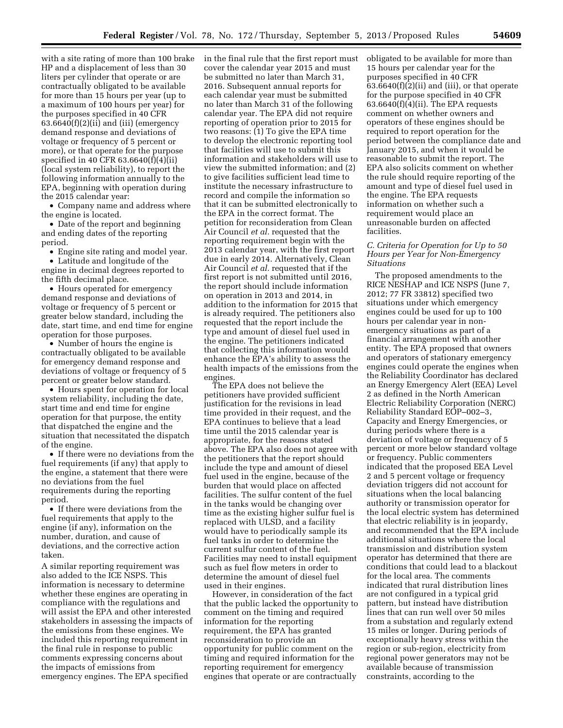with a site rating of more than 100 brake HP and a displacement of less than 30 liters per cylinder that operate or are contractually obligated to be available for more than 15 hours per year (up to a maximum of 100 hours per year) for the purposes specified in 40 CFR  $63.6640(f)(2)(ii)$  and (iii) (emergency demand response and deviations of voltage or frequency of 5 percent or more), or that operate for the purpose specified in 40 CFR 63.6640(f)(4)(ii) (local system reliability), to report the following information annually to the EPA, beginning with operation during the 2015 calendar year:

• Company name and address where the engine is located.

• Date of the report and beginning and ending dates of the reporting period.

• Engine site rating and model year.

• Latitude and longitude of the engine in decimal degrees reported to the fifth decimal place.

• Hours operated for emergency demand response and deviations of voltage or frequency of 5 percent or greater below standard, including the date, start time, and end time for engine operation for those purposes.

• Number of hours the engine is contractually obligated to be available for emergency demand response and deviations of voltage or frequency of 5 percent or greater below standard.

• Hours spent for operation for local system reliability, including the date, start time and end time for engine operation for that purpose, the entity that dispatched the engine and the situation that necessitated the dispatch of the engine.

• If there were no deviations from the fuel requirements (if any) that apply to the engine, a statement that there were no deviations from the fuel requirements during the reporting period.

• If there were deviations from the fuel requirements that apply to the engine (if any), information on the number, duration, and cause of deviations, and the corrective action taken.

A similar reporting requirement was also added to the ICE NSPS. This information is necessary to determine whether these engines are operating in compliance with the regulations and will assist the EPA and other interested stakeholders in assessing the impacts of the emissions from these engines. We included this reporting requirement in the final rule in response to public comments expressing concerns about the impacts of emissions from emergency engines. The EPA specified

in the final rule that the first report must cover the calendar year 2015 and must be submitted no later than March 31, 2016. Subsequent annual reports for each calendar year must be submitted no later than March 31 of the following calendar year. The EPA did not require reporting of operation prior to 2015 for two reasons: (1) To give the EPA time to develop the electronic reporting tool that facilities will use to submit this information and stakeholders will use to view the submitted information; and (2) to give facilities sufficient lead time to institute the necessary infrastructure to record and compile the information so that it can be submitted electronically to the EPA in the correct format. The petition for reconsideration from Clean Air Council *et al.* requested that the reporting requirement begin with the 2013 calendar year, with the first report due in early 2014. Alternatively, Clean Air Council *et al.* requested that if the first report is not submitted until 2016, the report should include information on operation in 2013 and 2014, in addition to the information for 2015 that is already required. The petitioners also requested that the report include the type and amount of diesel fuel used in the engine. The petitioners indicated that collecting this information would enhance the EPA's ability to assess the health impacts of the emissions from the engines.

The EPA does not believe the petitioners have provided sufficient justification for the revisions in lead time provided in their request, and the EPA continues to believe that a lead time until the 2015 calendar year is appropriate, for the reasons stated above. The EPA also does not agree with the petitioners that the report should include the type and amount of diesel fuel used in the engine, because of the burden that would place on affected facilities. The sulfur content of the fuel in the tanks would be changing over time as the existing higher sulfur fuel is replaced with ULSD, and a facility would have to periodically sample its fuel tanks in order to determine the current sulfur content of the fuel. Facilities may need to install equipment such as fuel flow meters in order to determine the amount of diesel fuel used in their engines.

However, in consideration of the fact that the public lacked the opportunity to comment on the timing and required information for the reporting requirement, the EPA has granted reconsideration to provide an opportunity for public comment on the timing and required information for the reporting requirement for emergency engines that operate or are contractually

obligated to be available for more than 15 hours per calendar year for the purposes specified in 40 CFR  $63.6640(f)(2)(ii)$  and (iii), or that operate for the purpose specified in 40 CFR  $63.6640(f)(4)(ii)$ . The EPA requests comment on whether owners and operators of these engines should be required to report operation for the period between the compliance date and January 2015, and when it would be reasonable to submit the report. The EPA also solicits comment on whether the rule should require reporting of the amount and type of diesel fuel used in the engine. The EPA requests information on whether such a requirement would place an unreasonable burden on affected facilities.

### *C. Criteria for Operation for Up to 50 Hours per Year for Non-Emergency Situations*

The proposed amendments to the RICE NESHAP and ICE NSPS (June 7, 2012; 77 FR 33812) specified two situations under which emergency engines could be used for up to 100 hours per calendar year in nonemergency situations as part of a financial arrangement with another entity. The EPA proposed that owners and operators of stationary emergency engines could operate the engines when the Reliability Coordinator has declared an Energy Emergency Alert (EEA) Level 2 as defined in the North American Electric Reliability Corporation (NERC) Reliability Standard EOP–002–3, Capacity and Energy Emergencies, or during periods where there is a deviation of voltage or frequency of 5 percent or more below standard voltage or frequency. Public commenters indicated that the proposed EEA Level 2 and 5 percent voltage or frequency deviation triggers did not account for situations when the local balancing authority or transmission operator for the local electric system has determined that electric reliability is in jeopardy, and recommended that the EPA include additional situations where the local transmission and distribution system operator has determined that there are conditions that could lead to a blackout for the local area. The comments indicated that rural distribution lines are not configured in a typical grid pattern, but instead have distribution lines that can run well over 50 miles from a substation and regularly extend 15 miles or longer. During periods of exceptionally heavy stress within the region or sub-region, electricity from regional power generators may not be available because of transmission constraints, according to the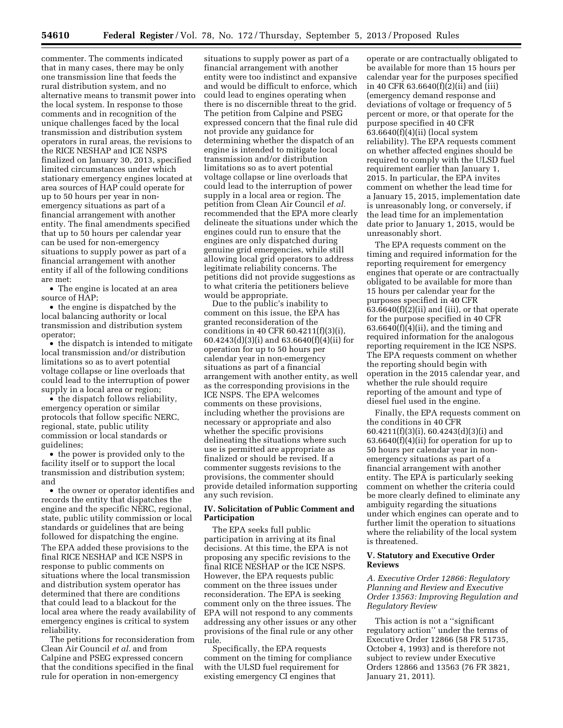commenter. The comments indicated that in many cases, there may be only one transmission line that feeds the rural distribution system, and no alternative means to transmit power into the local system. In response to those comments and in recognition of the unique challenges faced by the local transmission and distribution system operators in rural areas, the revisions to the RICE NESHAP and ICE NSPS finalized on January 30, 2013, specified limited circumstances under which stationary emergency engines located at area sources of HAP could operate for up to 50 hours per year in nonemergency situations as part of a financial arrangement with another entity. The final amendments specified that up to 50 hours per calendar year can be used for non-emergency situations to supply power as part of a financial arrangement with another entity if all of the following conditions are met:

• The engine is located at an area source of HAP;

• the engine is dispatched by the local balancing authority or local transmission and distribution system operator;

• the dispatch is intended to mitigate local transmission and/or distribution limitations so as to avert potential voltage collapse or line overloads that could lead to the interruption of power supply in a local area or region;

• the dispatch follows reliability, emergency operation or similar protocols that follow specific NERC, regional, state, public utility commission or local standards or guidelines;

• the power is provided only to the facility itself or to support the local transmission and distribution system; and

• the owner or operator identifies and records the entity that dispatches the engine and the specific NERC, regional, state, public utility commission or local standards or guidelines that are being followed for dispatching the engine. The EPA added these provisions to the final RICE NESHAP and ICE NSPS in response to public comments on situations where the local transmission and distribution system operator has determined that there are conditions that could lead to a blackout for the local area where the ready availability of emergency engines is critical to system reliability.

The petitions for reconsideration from Clean Air Council *et al.* and from Calpine and PSEG expressed concern that the conditions specified in the final rule for operation in non-emergency

situations to supply power as part of a financial arrangement with another entity were too indistinct and expansive and would be difficult to enforce, which could lead to engines operating when there is no discernible threat to the grid. The petition from Calpine and PSEG expressed concern that the final rule did not provide any guidance for determining whether the dispatch of an engine is intended to mitigate local transmission and/or distribution limitations so as to avert potential voltage collapse or line overloads that could lead to the interruption of power supply in a local area or region. The petition from Clean Air Council *et al.*  recommended that the EPA more clearly delineate the situations under which the engines could run to ensure that the engines are only dispatched during genuine grid emergencies, while still allowing local grid operators to address legitimate reliability concerns. The petitions did not provide suggestions as to what criteria the petitioners believe would be appropriate.

Due to the public's inability to comment on this issue, the EPA has granted reconsideration of the conditions in 40 CFR 60.4211(f)(3)(i), 60.4243(d)(3)(i) and 63.6640(f)(4)(ii) for operation for up to 50 hours per calendar year in non-emergency situations as part of a financial arrangement with another entity, as well as the corresponding provisions in the ICE NSPS. The EPA welcomes comments on these provisions, including whether the provisions are necessary or appropriate and also whether the specific provisions delineating the situations where such use is permitted are appropriate as finalized or should be revised. If a commenter suggests revisions to the provisions, the commenter should provide detailed information supporting any such revision.

## **IV. Solicitation of Public Comment and Participation**

The EPA seeks full public participation in arriving at its final decisions. At this time, the EPA is not proposing any specific revisions to the final RICE NESHAP or the ICE NSPS. However, the EPA requests public comment on the three issues under reconsideration. The EPA is seeking comment only on the three issues. The EPA will not respond to any comments addressing any other issues or any other provisions of the final rule or any other rule.

Specifically, the EPA requests comment on the timing for compliance with the ULSD fuel requirement for existing emergency CI engines that

operate or are contractually obligated to be available for more than 15 hours per calendar year for the purposes specified in 40 CFR 63.6640(f)(2)(ii) and (iii) (emergency demand response and deviations of voltage or frequency of 5 percent or more, or that operate for the purpose specified in 40 CFR 63.6640(f)(4)(ii) (local system reliability). The EPA requests comment on whether affected engines should be required to comply with the ULSD fuel requirement earlier than January 1, 2015. In particular, the EPA invites comment on whether the lead time for a January 15, 2015, implementation date is unreasonably long, or conversely, if the lead time for an implementation date prior to January 1, 2015, would be unreasonably short.

The EPA requests comment on the timing and required information for the reporting requirement for emergency engines that operate or are contractually obligated to be available for more than 15 hours per calendar year for the purposes specified in 40 CFR  $63.6640(f)(2)(ii)$  and (iii), or that operate for the purpose specified in 40 CFR  $63.6640(f)(4)(ii)$ , and the timing and required information for the analogous reporting requirement in the ICE NSPS. The EPA requests comment on whether the reporting should begin with operation in the 2015 calendar year, and whether the rule should require reporting of the amount and type of diesel fuel used in the engine.

Finally, the EPA requests comment on the conditions in 40 CFR 60.4211(f)(3)(i), 60.4243(d)(3)(i) and  $63.6640(f)(4)(ii)$  for operation for up to 50 hours per calendar year in nonemergency situations as part of a financial arrangement with another entity. The EPA is particularly seeking comment on whether the criteria could be more clearly defined to eliminate any ambiguity regarding the situations under which engines can operate and to further limit the operation to situations where the reliability of the local system is threatened.

### **V. Statutory and Executive Order Reviews**

*A. Executive Order 12866: Regulatory Planning and Review and Executive Order 13563: Improving Regulation and Regulatory Review* 

This action is not a ''significant regulatory action'' under the terms of Executive Order 12866 (58 FR 51735, October 4, 1993) and is therefore not subject to review under Executive Orders 12866 and 13563 (76 FR 3821, January 21, 2011).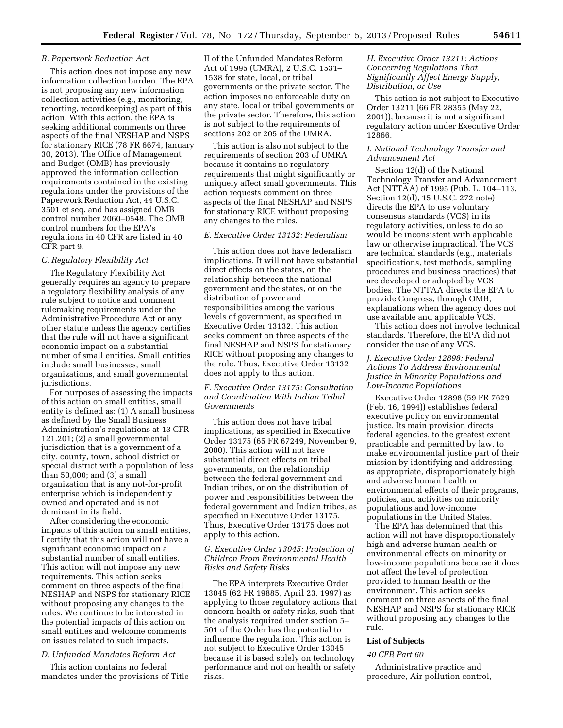#### *B. Paperwork Reduction Act*

This action does not impose any new information collection burden. The EPA is not proposing any new information collection activities (e.g., monitoring, reporting, recordkeeping) as part of this action. With this action, the EPA is seeking additional comments on three aspects of the final NESHAP and NSPS for stationary RICE (78 FR 6674, January 30, 2013). The Office of Management and Budget (OMB) has previously approved the information collection requirements contained in the existing regulations under the provisions of the Paperwork Reduction Act, 44 U.S.C. 3501 et seq. and has assigned OMB control number 2060–0548. The OMB control numbers for the EPA's regulations in 40 CFR are listed in 40 CFR part 9.

#### *C. Regulatory Flexibility Act*

The Regulatory Flexibility Act generally requires an agency to prepare a regulatory flexibility analysis of any rule subject to notice and comment rulemaking requirements under the Administrative Procedure Act or any other statute unless the agency certifies that the rule will not have a significant economic impact on a substantial number of small entities. Small entities include small businesses, small organizations, and small governmental jurisdictions.

For purposes of assessing the impacts of this action on small entities, small entity is defined as: (1) A small business as defined by the Small Business Administration's regulations at 13 CFR 121.201; (2) a small governmental jurisdiction that is a government of a city, county, town, school district or special district with a population of less than 50,000; and (3) a small organization that is any not-for-profit enterprise which is independently owned and operated and is not dominant in its field.

After considering the economic impacts of this action on small entities, I certify that this action will not have a significant economic impact on a substantial number of small entities. This action will not impose any new requirements. This action seeks comment on three aspects of the final NESHAP and NSPS for stationary RICE without proposing any changes to the rules. We continue to be interested in the potential impacts of this action on small entities and welcome comments on issues related to such impacts.

#### *D. Unfunded Mandates Reform Act*

This action contains no federal mandates under the provisions of Title II of the Unfunded Mandates Reform Act of 1995 (UMRA), 2 U.S.C. 1531– 1538 for state, local, or tribal governments or the private sector. The action imposes no enforceable duty on any state, local or tribal governments or the private sector. Therefore, this action is not subject to the requirements of sections 202 or 205 of the UMRA.

This action is also not subject to the requirements of section 203 of UMRA because it contains no regulatory requirements that might significantly or uniquely affect small governments. This action requests comment on three aspects of the final NESHAP and NSPS for stationary RICE without proposing any changes to the rules.

### *E. Executive Order 13132: Federalism*

This action does not have federalism implications. It will not have substantial direct effects on the states, on the relationship between the national government and the states, or on the distribution of power and responsibilities among the various levels of government, as specified in Executive Order 13132. This action seeks comment on three aspects of the final NESHAP and NSPS for stationary RICE without proposing any changes to the rule. Thus, Executive Order 13132 does not apply to this action.

## *F. Executive Order 13175: Consultation and Coordination With Indian Tribal Governments*

This action does not have tribal implications, as specified in Executive Order 13175 (65 FR 67249, November 9, 2000). This action will not have substantial direct effects on tribal governments, on the relationship between the federal government and Indian tribes, or on the distribution of power and responsibilities between the federal government and Indian tribes, as specified in Executive Order 13175. Thus, Executive Order 13175 does not apply to this action.

## *G. Executive Order 13045: Protection of Children From Environmental Health Risks and Safety Risks*

The EPA interprets Executive Order 13045 (62 FR 19885, April 23, 1997) as applying to those regulatory actions that concern health or safety risks, such that the analysis required under section 5– 501 of the Order has the potential to influence the regulation. This action is not subject to Executive Order 13045 because it is based solely on technology performance and not on health or safety risks.

## *H. Executive Order 13211: Actions Concerning Regulations That Significantly Affect Energy Supply, Distribution, or Use*

This action is not subject to Executive Order 13211 (66 FR 28355 (May 22, 2001)), because it is not a significant regulatory action under Executive Order 12866.

## *I. National Technology Transfer and Advancement Act*

Section 12(d) of the National Technology Transfer and Advancement Act (NTTAA) of 1995 (Pub. L. 104–113, Section 12(d), 15 U.S.C. 272 note) directs the EPA to use voluntary consensus standards (VCS) in its regulatory activities, unless to do so would be inconsistent with applicable law or otherwise impractical. The VCS are technical standards (e.g., materials specifications, test methods, sampling procedures and business practices) that are developed or adopted by VCS bodies. The NTTAA directs the EPA to provide Congress, through OMB, explanations when the agency does not use available and applicable VCS.

This action does not involve technical standards. Therefore, the EPA did not consider the use of any VCS.

## *J. Executive Order 12898: Federal Actions To Address Environmental Justice in Minority Populations and Low-Income Populations*

Executive Order 12898 (59 FR 7629 (Feb. 16, 1994)) establishes federal executive policy on environmental justice. Its main provision directs federal agencies, to the greatest extent practicable and permitted by law, to make environmental justice part of their mission by identifying and addressing, as appropriate, disproportionately high and adverse human health or environmental effects of their programs, policies, and activities on minority populations and low-income populations in the United States.

The EPA has determined that this action will not have disproportionately high and adverse human health or environmental effects on minority or low-income populations because it does not affect the level of protection provided to human health or the environment. This action seeks comment on three aspects of the final NESHAP and NSPS for stationary RICE without proposing any changes to the rule.

## **List of Subjects**

#### *40 CFR Part 60*

Administrative practice and procedure, Air pollution control,